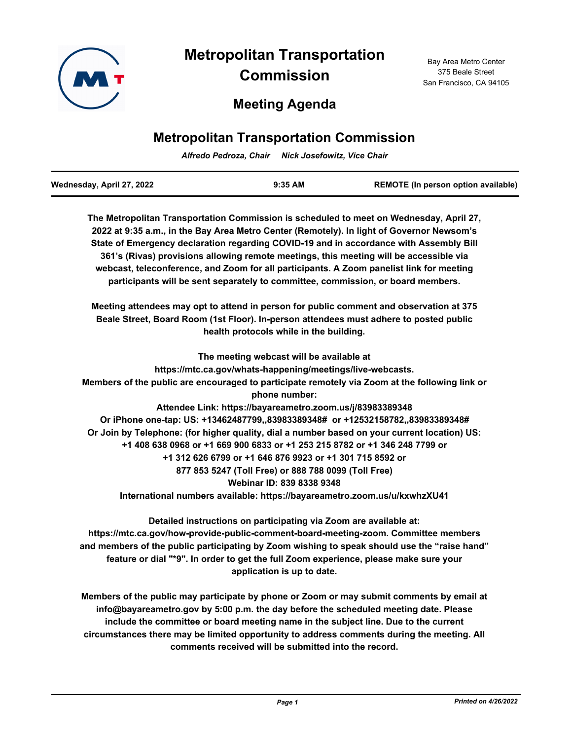

# **Metropolitan Transportation Commission**

## **Meeting Agenda**

#### Bay Area Metro Center 375 Beale Street San Francisco, CA 94105

## **Metropolitan Transportation Commission**

*Alfredo Pedroza, Chair Nick Josefowitz, Vice Chair*

| Wednesday, April 27, 2022 | $9:35$ AM | <b>REMOTE (In person option available)</b> |
|---------------------------|-----------|--------------------------------------------|
|                           |           |                                            |

**The Metropolitan Transportation Commission is scheduled to meet on Wednesday, April 27, 2022 at 9:35 a.m., in the Bay Area Metro Center (Remotely). In light of Governor Newsom's State of Emergency declaration regarding COVID-19 and in accordance with Assembly Bill 361's (Rivas) provisions allowing remote meetings, this meeting will be accessible via webcast, teleconference, and Zoom for all participants. A Zoom panelist link for meeting participants will be sent separately to committee, commission, or board members.**

**Meeting attendees may opt to attend in person for public comment and observation at 375 Beale Street, Board Room (1st Floor). In-person attendees must adhere to posted public health protocols while in the building.**

**The meeting webcast will be available at https://mtc.ca.gov/whats-happening/meetings/live-webcasts. Members of the public are encouraged to participate remotely via Zoom at the following link or phone number: Attendee Link: https://bayareametro.zoom.us/j/83983389348 Or iPhone one-tap: US: +13462487799,,83983389348# or +12532158782,,83983389348# Or Join by Telephone: (for higher quality, dial a number based on your current location) US: +1 408 638 0968 or +1 669 900 6833 or +1 253 215 8782 or +1 346 248 7799 or +1 312 626 6799 or +1 646 876 9923 or +1 301 715 8592 or 877 853 5247 (Toll Free) or 888 788 0099 (Toll Free) Webinar ID: 839 8338 9348 International numbers available: https://bayareametro.zoom.us/u/kxwhzXU41**

**Detailed instructions on participating via Zoom are available at: https://mtc.ca.gov/how-provide-public-comment-board-meeting-zoom. Committee members and members of the public participating by Zoom wishing to speak should use the "raise hand" feature or dial "\*9". In order to get the full Zoom experience, please make sure your application is up to date.**

**Members of the public may participate by phone or Zoom or may submit comments by email at info@bayareametro.gov by 5:00 p.m. the day before the scheduled meeting date. Please include the committee or board meeting name in the subject line. Due to the current circumstances there may be limited opportunity to address comments during the meeting. All comments received will be submitted into the record.**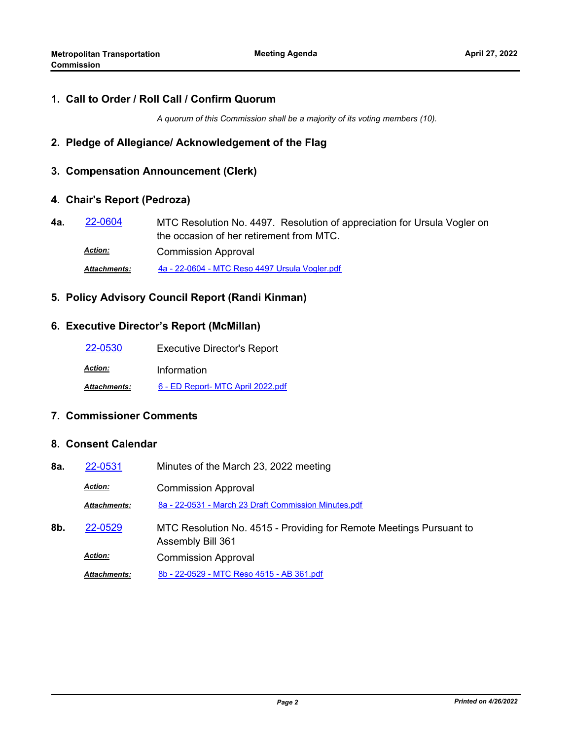## **1. Call to Order / Roll Call / Confirm Quorum**

*A quorum of this Commission shall be a majority of its voting members (10).*

## **2. Pledge of Allegiance/ Acknowledgement of the Flag**

## **3. Compensation Announcement (Clerk)**

### **4. Chair's Report (Pedroza)**

MTC Resolution No. 4497. Resolution of appreciation for Ursula Vogler on the occasion of her retirement from MTC. **4a.** [22-0604](http://mtc.legistar.com/gateway.aspx?m=l&id=/matter.aspx?key=23863) Commission Approval *Action:*

*Attachments:* [4a - 22-0604 - MTC Reso 4497 Ursula Vogler.pdf](http://mtc.legistar.com/gateway.aspx?M=F&ID=2c764e92-cb97-4de4-9c73-34ab9892e9f6.pdf)

### **5. Policy Advisory Council Report (Randi Kinman)**

### **6. Executive Director's Report (McMillan)**

| 22-0530             | <b>Executive Director's Report</b> |
|---------------------|------------------------------------|
| <b>Action:</b>      | Information                        |
| <b>Attachments:</b> | 6 - ED Report- MTC April 2022.pdf  |

## **7. Commissioner Comments**

## **8. Consent Calendar**

| 8a. | 22-0531             | Minutes of the March 23, 2022 meeting                                                    |
|-----|---------------------|------------------------------------------------------------------------------------------|
|     | <b>Action:</b>      | <b>Commission Approval</b>                                                               |
|     | <b>Attachments:</b> | 8a - 22-0531 - March 23 Draft Commission Minutes.pdf                                     |
| 8b. | 22-0529             | MTC Resolution No. 4515 - Providing for Remote Meetings Pursuant to<br>Assembly Bill 361 |
|     | <b>Action:</b>      | <b>Commission Approval</b>                                                               |
|     | <b>Attachments:</b> | 8b - 22-0529 - MTC Reso 4515 - AB 361.pdf                                                |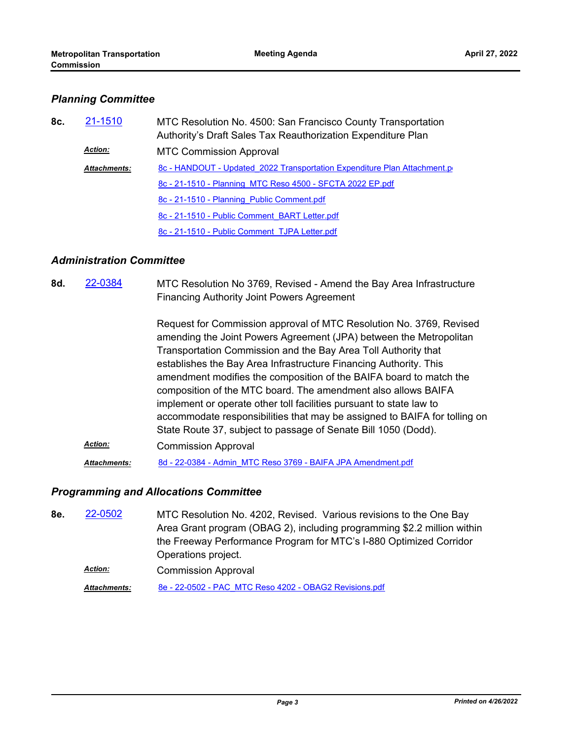## *Planning Committee*

| 8c. | 21-1510             | MTC Resolution No. 4500: San Francisco County Transportation<br>Authority's Draft Sales Tax Reauthorization Expenditure Plan |
|-----|---------------------|------------------------------------------------------------------------------------------------------------------------------|
|     | <b>Action:</b>      | <b>MTC Commission Approval</b>                                                                                               |
|     | <b>Attachments:</b> | 8c - HANDOUT - Updated 2022 Transportation Expenditure Plan Attachment.p                                                     |
|     |                     | 8c - 21-1510 - Planning MTC Reso 4500 - SFCTA 2022 EP.pdf                                                                    |
|     |                     | 8c - 21-1510 - Planning Public Comment.pdf                                                                                   |
|     |                     | 8c - 21-1510 - Public Comment BART Letter.pdf                                                                                |
|     |                     | 8c - 21-1510 - Public Comment TJPA Letter.pdf                                                                                |

## *Administration Committee*

| 8d. | 22-0384             | MTC Resolution No 3769, Revised - Amend the Bay Area Infrastructure<br><b>Financing Authority Joint Powers Agreement</b>                                                                                                                                                                                                                                                                                                                                                                                                                                                                                                                      |
|-----|---------------------|-----------------------------------------------------------------------------------------------------------------------------------------------------------------------------------------------------------------------------------------------------------------------------------------------------------------------------------------------------------------------------------------------------------------------------------------------------------------------------------------------------------------------------------------------------------------------------------------------------------------------------------------------|
|     |                     | Request for Commission approval of MTC Resolution No. 3769, Revised<br>amending the Joint Powers Agreement (JPA) between the Metropolitan<br>Transportation Commission and the Bay Area Toll Authority that<br>establishes the Bay Area Infrastructure Financing Authority. This<br>amendment modifies the composition of the BAIFA board to match the<br>composition of the MTC board. The amendment also allows BAIFA<br>implement or operate other toll facilities pursuant to state law to<br>accommodate responsibilities that may be assigned to BAIFA for tolling on<br>State Route 37, subject to passage of Senate Bill 1050 (Dodd). |
|     | <b>Action:</b>      | <b>Commission Approval</b>                                                                                                                                                                                                                                                                                                                                                                                                                                                                                                                                                                                                                    |
|     | <b>Attachments:</b> | 8d - 22-0384 - Admin MTC Reso 3769 - BAIFA JPA Amendment.pdf                                                                                                                                                                                                                                                                                                                                                                                                                                                                                                                                                                                  |

## *Programming and Allocations Committee*

MTC Resolution No. 4202, Revised. Various revisions to the One Bay Area Grant program (OBAG 2), including programming \$2.2 million within the Freeway Performance Program for MTC's I-880 Optimized Corridor Operations project. **8e.** [22-0502](http://mtc.legistar.com/gateway.aspx?m=l&id=/matter.aspx?key=23761) Commission Approval *Action:*

*Attachments:* [8e - 22-0502 - PAC\\_MTC Reso 4202 - OBAG2 Revisions.pdf](http://mtc.legistar.com/gateway.aspx?M=F&ID=ee026c82-7f95-4c8e-b240-a2e8d5bec479.pdf)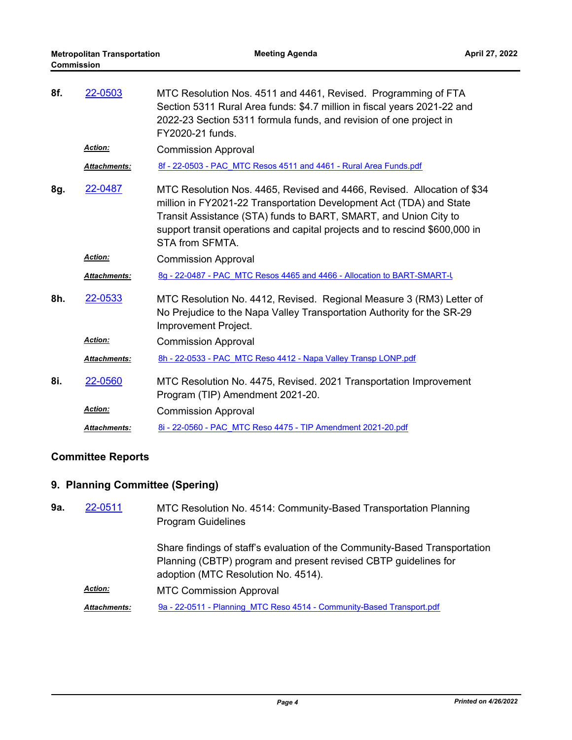| 8f. | 22-0503             | MTC Resolution Nos. 4511 and 4461, Revised. Programming of FTA<br>Section 5311 Rural Area funds: \$4.7 million in fiscal years 2021-22 and<br>2022-23 Section 5311 formula funds, and revision of one project in<br>FY2020-21 funds.                                                                                 |
|-----|---------------------|----------------------------------------------------------------------------------------------------------------------------------------------------------------------------------------------------------------------------------------------------------------------------------------------------------------------|
|     | <b>Action:</b>      | <b>Commission Approval</b>                                                                                                                                                                                                                                                                                           |
|     | Attachments:        | 8f - 22-0503 - PAC MTC Resos 4511 and 4461 - Rural Area Funds.pdf                                                                                                                                                                                                                                                    |
| 8g. | 22-0487             | MTC Resolution Nos. 4465, Revised and 4466, Revised. Allocation of \$34<br>million in FY2021-22 Transportation Development Act (TDA) and State<br>Transit Assistance (STA) funds to BART, SMART, and Union City to<br>support transit operations and capital projects and to rescind \$600,000 in<br>STA from SFMTA. |
|     | <b>Action:</b>      | <b>Commission Approval</b>                                                                                                                                                                                                                                                                                           |
|     | <b>Attachments:</b> | 8g - 22-0487 - PAC MTC Resos 4465 and 4466 - Allocation to BART-SMART-U                                                                                                                                                                                                                                              |
| 8h. | 22-0533             | MTC Resolution No. 4412, Revised. Regional Measure 3 (RM3) Letter of<br>No Prejudice to the Napa Valley Transportation Authority for the SR-29<br>Improvement Project.                                                                                                                                               |
|     | <b>Action:</b>      | <b>Commission Approval</b>                                                                                                                                                                                                                                                                                           |
|     | Attachments:        | 8h - 22-0533 - PAC MTC Reso 4412 - Napa Valley Transp LONP.pdf                                                                                                                                                                                                                                                       |
| 8i. | 22-0560             | MTC Resolution No. 4475, Revised. 2021 Transportation Improvement<br>Program (TIP) Amendment 2021-20.                                                                                                                                                                                                                |
|     | <b>Action:</b>      | <b>Commission Approval</b>                                                                                                                                                                                                                                                                                           |
|     | <b>Attachments:</b> | 8i - 22-0560 - PAC MTC Reso 4475 - TIP Amendment 2021-20.pdf                                                                                                                                                                                                                                                         |

## **Committee Reports**

## **9. Planning Committee (Spering)**

| 9a. | 22-0511             | MTC Resolution No. 4514: Community-Based Transportation Planning<br><b>Program Guidelines</b>                                                                                        |
|-----|---------------------|--------------------------------------------------------------------------------------------------------------------------------------------------------------------------------------|
|     |                     | Share findings of staff's evaluation of the Community-Based Transportation<br>Planning (CBTP) program and present revised CBTP guidelines for<br>adoption (MTC Resolution No. 4514). |
|     | <b>Action:</b>      | <b>MTC Commission Approval</b>                                                                                                                                                       |
|     | <b>Attachments:</b> | 9a - 22-0511 - Planning MTC Reso 4514 - Community-Based Transport.pdf                                                                                                                |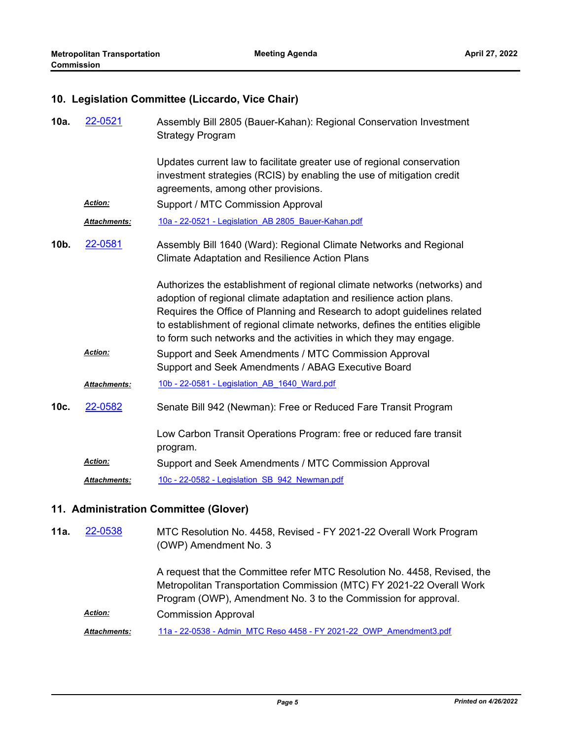### **10. Legislation Committee (Liccardo, Vice Chair)**

| 10a. | 22-0521             | Assembly Bill 2805 (Bauer-Kahan): Regional Conservation Investment<br><b>Strategy Program</b>                                                                                                                                                                                                                                                                                      |
|------|---------------------|------------------------------------------------------------------------------------------------------------------------------------------------------------------------------------------------------------------------------------------------------------------------------------------------------------------------------------------------------------------------------------|
|      |                     | Updates current law to facilitate greater use of regional conservation<br>investment strategies (RCIS) by enabling the use of mitigation credit<br>agreements, among other provisions.                                                                                                                                                                                             |
|      | Action:             | Support / MTC Commission Approval                                                                                                                                                                                                                                                                                                                                                  |
|      | Attachments:        | 10a - 22-0521 - Legislation AB 2805 Bauer-Kahan.pdf                                                                                                                                                                                                                                                                                                                                |
| 10b. | 22-0581             | Assembly Bill 1640 (Ward): Regional Climate Networks and Regional<br><b>Climate Adaptation and Resilience Action Plans</b>                                                                                                                                                                                                                                                         |
|      |                     | Authorizes the establishment of regional climate networks (networks) and<br>adoption of regional climate adaptation and resilience action plans.<br>Requires the Office of Planning and Research to adopt guidelines related<br>to establishment of regional climate networks, defines the entities eligible<br>to form such networks and the activities in which they may engage. |
|      | Action:             | Support and Seek Amendments / MTC Commission Approval<br>Support and Seek Amendments / ABAG Executive Board                                                                                                                                                                                                                                                                        |
|      | Attachments:        | 10b - 22-0581 - Legislation AB 1640 Ward.pdf                                                                                                                                                                                                                                                                                                                                       |
| 10c. | 22-0582             | Senate Bill 942 (Newman): Free or Reduced Fare Transit Program                                                                                                                                                                                                                                                                                                                     |
|      |                     | Low Carbon Transit Operations Program: free or reduced fare transit<br>program.                                                                                                                                                                                                                                                                                                    |
|      | <b>Action:</b>      | Support and Seek Amendments / MTC Commission Approval                                                                                                                                                                                                                                                                                                                              |
|      | <b>Attachments:</b> | 10c - 22-0582 - Legislation SB 942 Newman.pdf                                                                                                                                                                                                                                                                                                                                      |

## **11. Administration Committee (Glover)**

MTC Resolution No. 4458, Revised - FY 2021-22 Overall Work Program (OWP) Amendment No. 3 A request that the Committee refer MTC Resolution No. 4458, Revised, the Metropolitan Transportation Commission (MTC) FY 2021-22 Overall Work Program (OWP), Amendment No. 3 to the Commission for approval. **11a.** [22-0538](http://mtc.legistar.com/gateway.aspx?m=l&id=/matter.aspx?key=23797) Commission Approval *Action: Attachments:* [11a - 22-0538 - Admin\\_MTC Reso 4458 - FY 2021-22\\_OWP\\_Amendment3.pdf](http://mtc.legistar.com/gateway.aspx?M=F&ID=64e111e6-b18c-47bc-a4fd-e34b5899615a.pdf)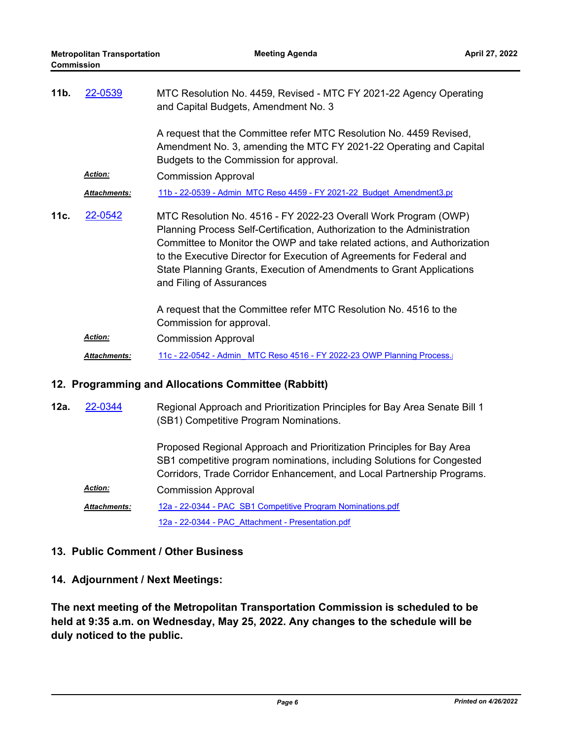| 11 <sub>b</sub> | 22-0539             | MTC Resolution No. 4459, Revised - MTC FY 2021-22 Agency Operating<br>and Capital Budgets, Amendment No. 3                                                                                                                                                                                                                                                                                           |
|-----------------|---------------------|------------------------------------------------------------------------------------------------------------------------------------------------------------------------------------------------------------------------------------------------------------------------------------------------------------------------------------------------------------------------------------------------------|
|                 |                     | A request that the Committee refer MTC Resolution No. 4459 Revised,<br>Amendment No. 3, amending the MTC FY 2021-22 Operating and Capital<br>Budgets to the Commission for approval.                                                                                                                                                                                                                 |
|                 | <b>Action:</b>      | <b>Commission Approval</b>                                                                                                                                                                                                                                                                                                                                                                           |
|                 | <b>Attachments:</b> | 11b - 22-0539 - Admin MTC Reso 4459 - FY 2021-22 Budget Amendment3.po                                                                                                                                                                                                                                                                                                                                |
| 11c.            | 22-0542             | MTC Resolution No. 4516 - FY 2022-23 Overall Work Program (OWP)<br>Planning Process Self-Certification, Authorization to the Administration<br>Committee to Monitor the OWP and take related actions, and Authorization<br>to the Executive Director for Execution of Agreements for Federal and<br>State Planning Grants, Execution of Amendments to Grant Applications<br>and Filing of Assurances |
|                 |                     | A request that the Committee refer MTC Resolution No. 4516 to the<br>Commission for approval.                                                                                                                                                                                                                                                                                                        |
|                 | <b>Action:</b>      | <b>Commission Approval</b>                                                                                                                                                                                                                                                                                                                                                                           |
|                 | <b>Attachments:</b> | 11c - 22-0542 - Admin MTC Reso 4516 - FY 2022-23 OWP Planning Process.                                                                                                                                                                                                                                                                                                                               |

#### **12. Programming and Allocations Committee (Rabbitt)**

Regional Approach and Prioritization Principles for Bay Area Senate Bill 1 (SB1) Competitive Program Nominations. **12a.** [22-0344](http://mtc.legistar.com/gateway.aspx?m=l&id=/matter.aspx?key=23603)

Proposed Regional Approach and Prioritization Principles for Bay Area SB1 competitive program nominations, including Solutions for Congested Corridors, Trade Corridor Enhancement, and Local Partnership Programs. Commission Approval *Action:*

[12a - 22-0344 - PAC\\_SB1 Competitive Program Nominations.pdf](http://mtc.legistar.com/gateway.aspx?M=F&ID=9b33120c-c682-4bc6-a179-0c5be3d7182f.pdf) [12a - 22-0344 - PAC\\_Attachment - Presentation.pdf](http://mtc.legistar.com/gateway.aspx?M=F&ID=1516a390-6e30-4190-92e3-5680f373cbad.pdf) *Attachments:*

## **13. Public Comment / Other Business**

## **14. Adjournment / Next Meetings:**

**The next meeting of the Metropolitan Transportation Commission is scheduled to be held at 9:35 a.m. on Wednesday, May 25, 2022. Any changes to the schedule will be duly noticed to the public.**